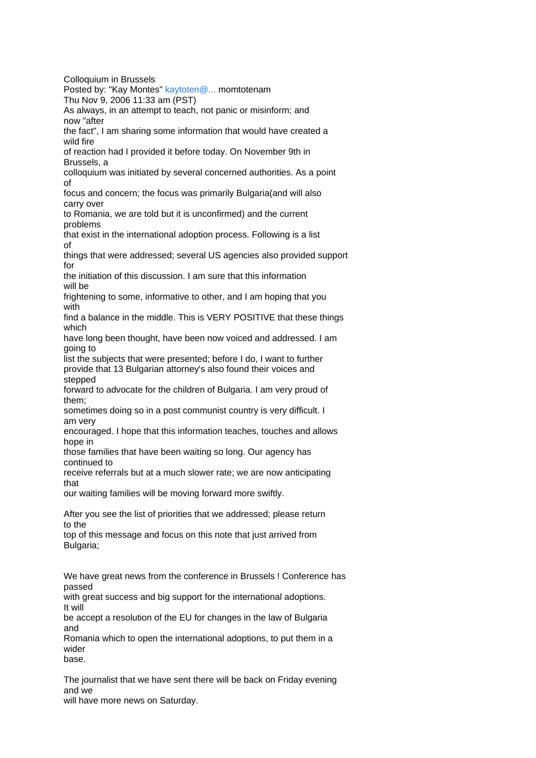Colloquium in Brussels Posted by: "Kay Montes" [kaytoten@...](http://groups.yahoo.com/group/BulgarianAdopt/post?postID=1w5SAAYHqYlbKW-Pmt-dvoJcKqjpaDLQVZVYKvcKU_smbAE-w1IAvffxmx1Xg9r-F7IDbNgcsOywgQA2lBxC3OY) momtotenam Thu Nov 9, 2006 11:33 am (PST) As always, in an attempt to teach, not panic or misinform; and now "after the fact", I am sharing some information that would have created a wild fire of reaction had I provided it before today. On November 9th in Brussels, a colloquium was initiated by several concerned authorities. As a point of focus and concern; the focus was primarily Bulgaria(and will also carry over to Romania, we are told but it is unconfirmed) and the current problems that exist in the international adoption process. Following is a list of things that were addressed; several US agencies also provided support for the initiation of this discussion. I am sure that this information will be frightening to some, informative to other, and I am hoping that you with find a balance in the middle. This is VERY POSITIVE that these things which have long been thought, have been now voiced and addressed. I am going to list the subjects that were presented; before I do, I want to further provide that 13 Bulgarian attorney's also found their voices and stepped forward to advocate for the children of Bulgaria. I am very proud of them; sometimes doing so in a post communist country is very difficult. I am very encouraged. I hope that this information teaches, touches and allows hope in those families that have been waiting so long. Our agency has continued to receive referrals but at a much slower rate; we are now anticipating that our waiting families will be moving forward more swiftly. After you see the list of priorities that we addressed; please return to the top of this message and focus on this note that just arrived from Bulgaria; We have great news from the conference in Brussels ! Conference has passed with great success and big support for the international adoptions. It will be accept a resolution of the EU for changes in the law of Bulgaria and Romania which to open the international adoptions, to put them in a wider base.

The journalist that we have sent there will be back on Friday evening and we

will have more news on Saturday.